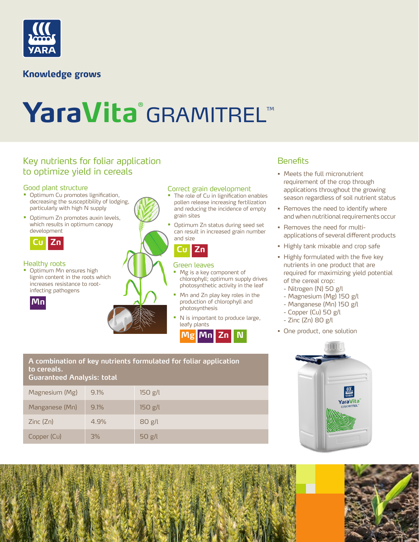

### **Knowledge grows**

# YaraVita<sup>®</sup>GRAMITREL™

### Key nutrients for foliar application and the second Benefits Benefits to optimize yield in cereals

### Good plant structure

- Optimum Cu promotes lignification, decreasing the susceptibility of lodging, particularly with high N supply
- Optimum Zn promotes auxin levels, which results in optimum canopy development



### Healthy roots

• Optimum Mn ensures high lignin content in the roots which increases resistance to rootinfecting pathogens



### Correct grain development

- The role of Cu in lignification enables pollen release increasing fertilization and reducing the incidence of empty grain sites
- Optimum Zn status during seed set can result in increased grain number and size

### **Cu Zn**

### Green leaves

- Mg is a key component of chlorophyll; optimum supply drives photosynthetic activity in the leaf
- Mn and Zn play key roles in the production of chlorophyll and photosynthesis
- N is important to produce large, leafy plants



- Meets the full micronutrient requirement of the crop through applications throughout the growing season regardless of soil nutrient status
- Removes the need to identify where and when nutritional requirements occur
- Removes the need for multiapplications of several different products
- Highly tank mixable and crop safe
- Highly formulated with the five key nutrients in one product that are required for maximizing yield potential of the cereal crop:
	- Nitrogen (N) 50 g/l
	- Magnesium (Mg) 150 g/l
	- Manganese (Mn) 150 g/l
	- Copper (Cu) 50 g/l
	- Zinc (Zn) 80 g/l
- One product, one solution



### **A combination of key nutrients formulated for foliar application to cereals. Guaranteed Analysis: total**

| Goorging contracts in the contract of the contract of the contract of the contract of the contract of the contract of the contract of the contract of the contract of the contract of the contract of the contract of the cont |      |         |
|--------------------------------------------------------------------------------------------------------------------------------------------------------------------------------------------------------------------------------|------|---------|
| Magnesium (Mg)                                                                                                                                                                                                                 | 9.1% | 150 g/l |
| Manganese (Mn)                                                                                                                                                                                                                 | 9.1% | 150 g/l |
| Zinc(Zn)                                                                                                                                                                                                                       | 4.9% | 80 g/l  |
| Copper (Cu)                                                                                                                                                                                                                    | 3%   | 50 g/l  |